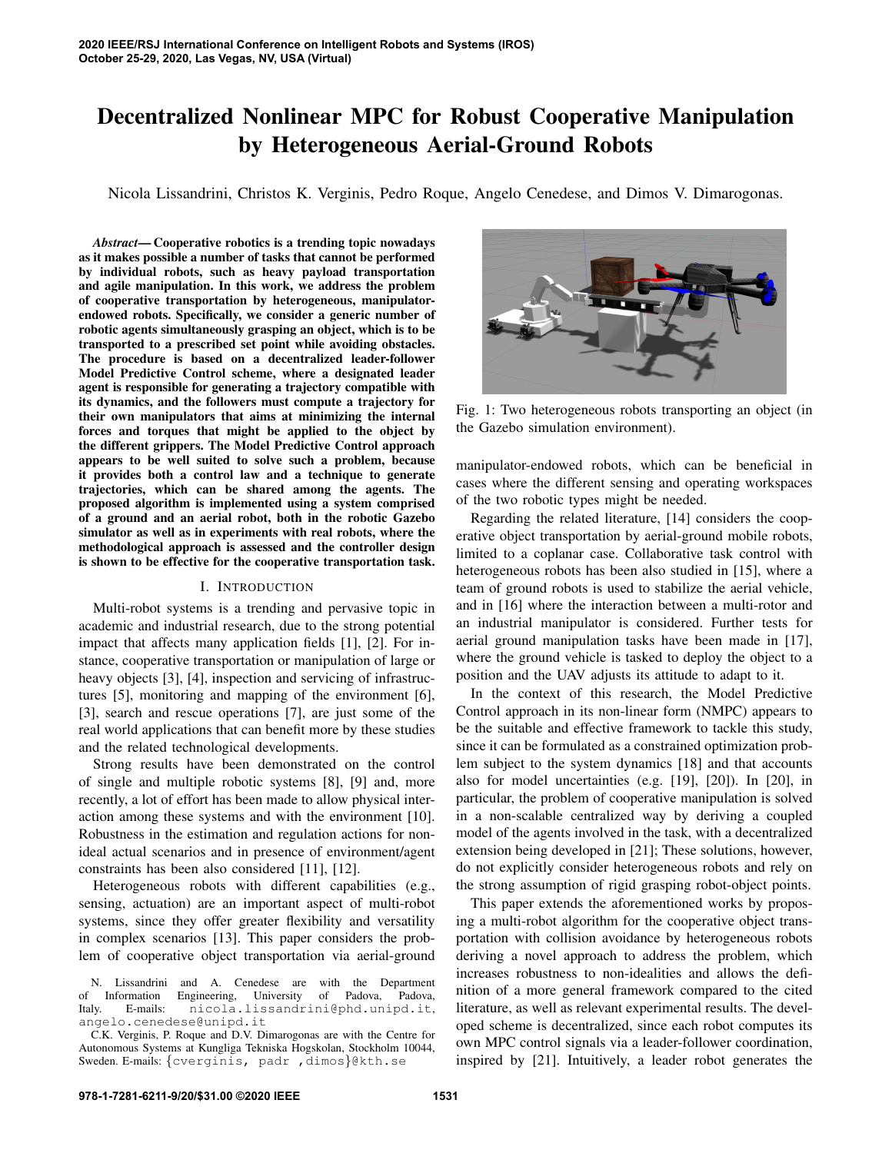# Decentralized Nonlinear MPC for Robust Cooperative Manipulation by Heterogeneous Aerial-Ground Robots

Nicola Lissandrini, Christos K. Verginis, Pedro Roque, Angelo Cenedese, and Dimos V. Dimarogonas.

*Abstract*— Cooperative robotics is a trending topic nowadays as it makes possible a number of tasks that cannot be performed by individual robots, such as heavy payload transportation and agile manipulation. In this work, we address the problem of cooperative transportation by heterogeneous, manipulatorendowed robots. Specifically, we consider a generic number of robotic agents simultaneously grasping an object, which is to be transported to a prescribed set point while avoiding obstacles. The procedure is based on a decentralized leader-follower Model Predictive Control scheme, where a designated leader agent is responsible for generating a trajectory compatible with its dynamics, and the followers must compute a trajectory for their own manipulators that aims at minimizing the internal forces and torques that might be applied to the object by the different grippers. The Model Predictive Control approach appears to be well suited to solve such a problem, because it provides both a control law and a technique to generate trajectories, which can be shared among the agents. The proposed algorithm is implemented using a system comprised of a ground and an aerial robot, both in the robotic Gazebo simulator as well as in experiments with real robots, where the methodological approach is assessed and the controller design is shown to be effective for the cooperative transportation task.

#### I. INTRODUCTION

Multi-robot systems is a trending and pervasive topic in academic and industrial research, due to the strong potential impact that affects many application fields [1], [2]. For instance, cooperative transportation or manipulation of large or heavy objects [3], [4], inspection and servicing of infrastructures [5], monitoring and mapping of the environment [6], [3], search and rescue operations [7], are just some of the real world applications that can benefit more by these studies and the related technological developments.

Strong results have been demonstrated on the control of single and multiple robotic systems [8], [9] and, more recently, a lot of effort has been made to allow physical interaction among these systems and with the environment [10]. Robustness in the estimation and regulation actions for nonideal actual scenarios and in presence of environment/agent constraints has been also considered [11], [12].

Heterogeneous robots with different capabilities (e.g., sensing, actuation) are an important aspect of multi-robot systems, since they offer greater flexibility and versatility in complex scenarios [13]. This paper considers the problem of cooperative object transportation via aerial-ground



Fig. 1: Two heterogeneous robots transporting an object (in the Gazebo simulation environment).

manipulator-endowed robots, which can be beneficial in cases where the different sensing and operating workspaces of the two robotic types might be needed.

Regarding the related literature, [14] considers the cooperative object transportation by aerial-ground mobile robots, limited to a coplanar case. Collaborative task control with heterogeneous robots has been also studied in [15], where a team of ground robots is used to stabilize the aerial vehicle, and in [16] where the interaction between a multi-rotor and an industrial manipulator is considered. Further tests for aerial ground manipulation tasks have been made in [17], where the ground vehicle is tasked to deploy the object to a position and the UAV adjusts its attitude to adapt to it.

In the context of this research, the Model Predictive Control approach in its non-linear form (NMPC) appears to be the suitable and effective framework to tackle this study, since it can be formulated as a constrained optimization problem subject to the system dynamics [18] and that accounts also for model uncertainties (e.g. [19], [20]). In [20], in particular, the problem of cooperative manipulation is solved in a non-scalable centralized way by deriving a coupled model of the agents involved in the task, with a decentralized extension being developed in [21]; These solutions, however, do not explicitly consider heterogeneous robots and rely on the strong assumption of rigid grasping robot-object points.

This paper extends the aforementioned works by proposing a multi-robot algorithm for the cooperative object transportation with collision avoidance by heterogeneous robots deriving a novel approach to address the problem, which increases robustness to non-idealities and allows the definition of a more general framework compared to the cited literature, as well as relevant experimental results. The developed scheme is decentralized, since each robot computes its own MPC control signals via a leader-follower coordination, inspired by [21]. Intuitively, a leader robot generates the

N. Lissandrini and A. Cenedese are with the Department of Information Engineering, University of Padova, Padova, Italy. E-mails: nicola.lissandrini@phd.unipd.it, angelo.cenedese@unipd.it

C.K. Verginis, P. Roque and D.V. Dimarogonas are with the Centre for Autonomous Systems at Kungliga Tekniska Hogskolan, Stockholm 10044, Sweden. E-mails: {cverginis, padr , dimos}@kth.se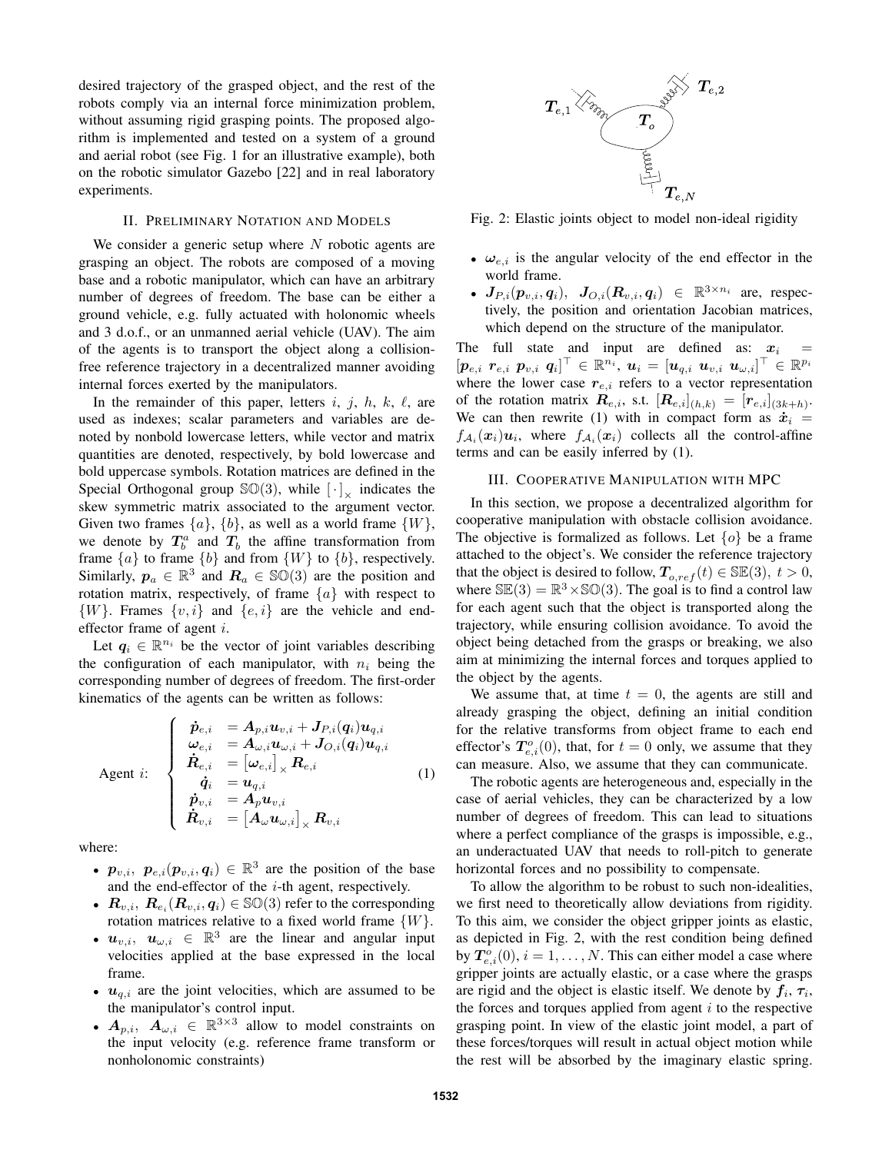desired trajectory of the grasped object, and the rest of the robots comply via an internal force minimization problem, without assuming rigid grasping points. The proposed algorithm is implemented and tested on a system of a ground and aerial robot (see Fig. 1 for an illustrative example), both on the robotic simulator Gazebo [22] and in real laboratory experiments.

## II. PRELIMINARY NOTATION AND MODELS

We consider a generic setup where  $N$  robotic agents are grasping an object. The robots are composed of a moving base and a robotic manipulator, which can have an arbitrary number of degrees of freedom. The base can be either a ground vehicle, e.g. fully actuated with holonomic wheels and 3 d.o.f., or an unmanned aerial vehicle (UAV). The aim of the agents is to transport the object along a collisionfree reference trajectory in a decentralized manner avoiding internal forces exerted by the manipulators.

In the remainder of this paper, letters i, j, h, k,  $\ell$ , are used as indexes; scalar parameters and variables are denoted by nonbold lowercase letters, while vector and matrix quantities are denoted, respectively, by bold lowercase and bold uppercase symbols. Rotation matrices are defined in the Special Orthogonal group  $\mathbb{SO}(3)$ , while  $[\cdot]_{\times}$  indicates the skew symmetric matrix associated to the argument vector. Given two frames  $\{a\}$ ,  $\{b\}$ , as well as a world frame  $\{W\}$ , we denote by  $T_b^a$  and  $T_b$  the affine transformation from frame  $\{a\}$  to frame  $\{b\}$  and from  $\{W\}$  to  $\{b\}$ , respectively. Similarly,  $p_a \in \mathbb{R}^3$  and  $R_a \in \mathbb{SO}(3)$  are the position and rotation matrix, respectively, of frame  $\{a\}$  with respect to  $\{W\}$ . Frames  $\{v, i\}$  and  $\{e, i\}$  are the vehicle and endeffector frame of agent i.

Let  $q_i \in \mathbb{R}^{n_i}$  be the vector of joint variables describing the configuration of each manipulator, with  $n_i$  being the corresponding number of degrees of freedom. The first-order kinematics of the agents can be written as follows:

$$
\text{Agent } i: \begin{cases} \dot{\bm{p}}_{e,i} &= A_{p,i} \bm{u}_{v,i} + J_{P,i}(q_i) \bm{u}_{q,i} \\ \bm{\omega}_{e,i} &= A_{\omega,i} \bm{u}_{\omega,i} + J_{O,i}(q_i) \bm{u}_{q,i} \\ \dot{\bm{R}}_{e,i} &= \left[\bm{\omega}_{e,i}\right]_{\times} \bm{R}_{e,i} \\ \dot{\bm{q}}_{i} &= \bm{u}_{q,i} \\ \dot{\bm{p}}_{v,i} &= A_{p} \bm{u}_{v,i} \\ \dot{\bm{R}}_{v,i} &= \left[A_{\omega} \bm{u}_{\omega,i}\right]_{\times} \bm{R}_{v,i} \end{cases} \tag{1}
$$

where:

- $p_{v,i}, p_{e,i}(p_{v,i}, q_i) \in \mathbb{R}^3$  are the position of the base and the end-effector of the  $i$ -th agent, respectively.
- $\boldsymbol{R}_{v,i}, \ \boldsymbol{R}_{e_i}(\boldsymbol{R}_{v,i},\boldsymbol{q}_i) \in \mathbb{SO}(3)$  refer to the corresponding rotation matrices relative to a fixed world frame  $\{W\}.$
- $u_{v,i}, u_{\omega,i} \in \mathbb{R}^3$  are the linear and angular input velocities applied at the base expressed in the local frame.
- $u_{q,i}$  are the joint velocities, which are assumed to be the manipulator's control input.
- $A_{p,i}$ ,  $A_{\omega,i} \in \mathbb{R}^{3 \times 3}$  allow to model constraints on the input velocity (e.g. reference frame transform or nonholonomic constraints)



Fig. 2: Elastic joints object to model non-ideal rigidity

- $\omega_{e,i}$  is the angular velocity of the end effector in the world frame.
- $\bm{J}_{P,i}(\bm{p}_{v,i},\bm{q}_i), \ \ \bm{J}_{O,i}(\bm{R}_{v,i},\bm{q}_i) \ \in \ \mathbb{R}^{3 \times n_i}$  are, respectively, the position and orientation Jacobian matrices, which depend on the structure of the manipulator.

The full state and input are defined as:  $x_i$  $[\boldsymbol{p}_{e,i} \enspace \boldsymbol{r}_{e,i} \enspace \boldsymbol{p}_{v,i} \enspace \boldsymbol{q}_i]^\top \in \mathbb{R}^{n_i} , \, \boldsymbol{u}_i = [\boldsymbol{u}_{q,i} \enspace \boldsymbol{u}_{v,i} \enspace \boldsymbol{u}_{\omega,i}]^\top \in \mathbb{R}^{p_i}$ where the lower case  $r_{e,i}$  refers to a vector representation of the rotation matrix  $\boldsymbol{R}_{e,i}$ , s.t.  $[\boldsymbol{R}_{e,i}]_{(h,k)} = [\boldsymbol{r}_{e,i}]_{(3k+h)}$ . We can then rewrite (1) with in compact form as  $\dot{x}_i$  =  $f_{\mathcal{A}_i}(\boldsymbol{x}_i)$ **u**<sub>i</sub>, where  $f_{\mathcal{A}_i}(\boldsymbol{x}_i)$  collects all the control-affine terms and can be easily inferred by (1).

## III. COOPERATIVE MANIPULATION WITH MPC

In this section, we propose a decentralized algorithm for cooperative manipulation with obstacle collision avoidance. The objective is formalized as follows. Let  $\{o\}$  be a frame attached to the object's. We consider the reference trajectory that the object is desired to follow,  $T_{o,ref}(t) \in \mathbb{SE}(3)$ ,  $t > 0$ , where  $\mathbb{SE}(3) = \mathbb{R}^3 \times \mathbb{SO}(3)$ . The goal is to find a control law for each agent such that the object is transported along the trajectory, while ensuring collision avoidance. To avoid the object being detached from the grasps or breaking, we also aim at minimizing the internal forces and torques applied to the object by the agents.

We assume that, at time  $t = 0$ , the agents are still and already grasping the object, defining an initial condition for the relative transforms from object frame to each end effector's  $T_{e,i}^o(0)$ , that, for  $t = 0$  only, we assume that they can measure. Also, we assume that they can communicate.

The robotic agents are heterogeneous and, especially in the case of aerial vehicles, they can be characterized by a low number of degrees of freedom. This can lead to situations where a perfect compliance of the grasps is impossible, e.g., an underactuated UAV that needs to roll-pitch to generate horizontal forces and no possibility to compensate.

To allow the algorithm to be robust to such non-idealities, we first need to theoretically allow deviations from rigidity. To this aim, we consider the object gripper joints as elastic, as depicted in Fig. 2, with the rest condition being defined by  $T_{e,i}^o(0)$ ,  $i = 1, \ldots, N$ . This can either model a case where gripper joints are actually elastic, or a case where the grasps are rigid and the object is elastic itself. We denote by  $f_i$ ,  $\tau_i$ , the forces and torques applied from agent  $i$  to the respective grasping point. In view of the elastic joint model, a part of these forces/torques will result in actual object motion while the rest will be absorbed by the imaginary elastic spring.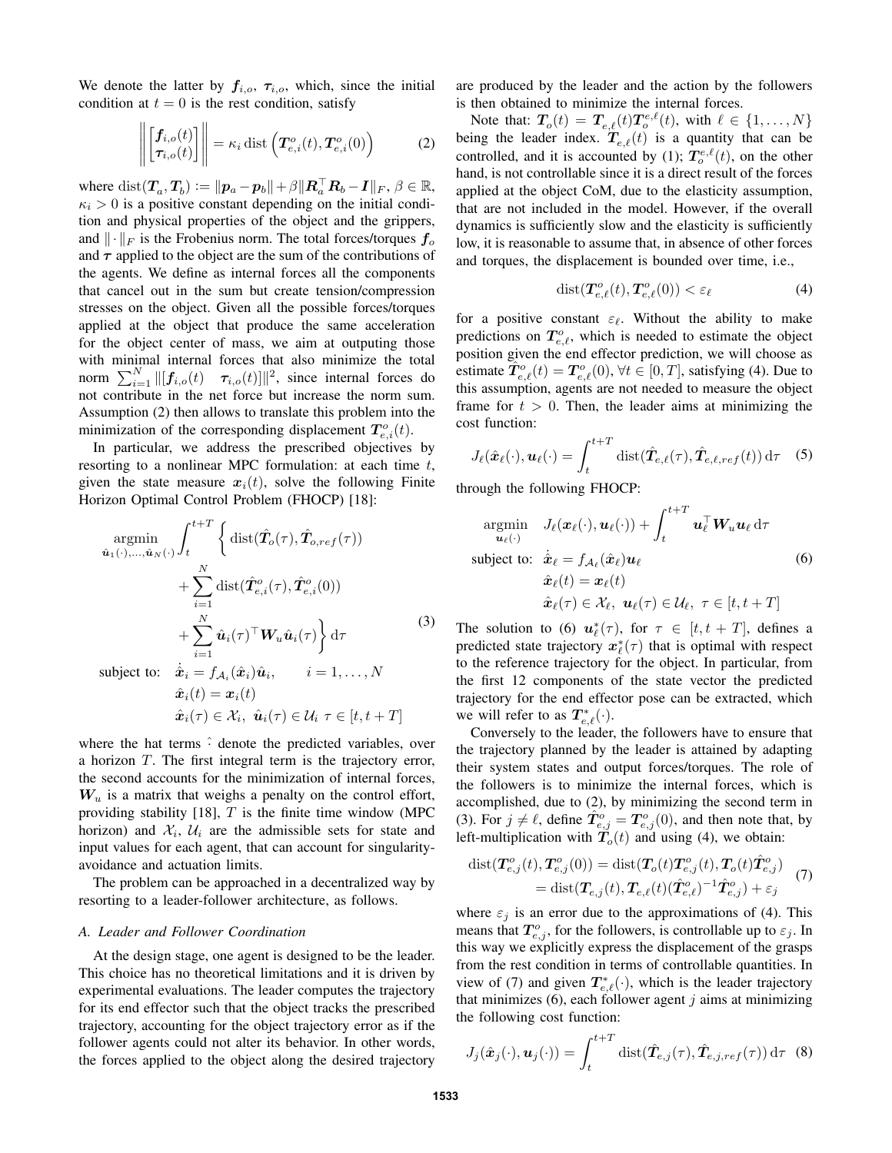We denote the latter by  $f_{i,o}$ ,  $\tau_{i,o}$ , which, since the initial condition at  $t = 0$  is the rest condition, satisfy

$$
\left\| \begin{bmatrix} f_{i,o}(t) \\ \tau_{i,o}(t) \end{bmatrix} \right\| = \kappa_i \, \text{dist}\left( T_{e,i}^o(t), T_{e,i}^o(0) \right) \tag{2}
$$

where  $dist(T_a, T_b) := ||p_a - p_b|| + \beta ||R_a^{\top} R_b - I||_F$ ,  $\beta \in \mathbb{R}$ ,  $\kappa_i > 0$  is a positive constant depending on the initial condition and physical properties of the object and the grippers, and  $\|\cdot\|_F$  is the Frobenius norm. The total forces/torques  $f_o$ and  $\tau$  applied to the object are the sum of the contributions of the agents. We define as internal forces all the components that cancel out in the sum but create tension/compression stresses on the object. Given all the possible forces/torques applied at the object that produce the same acceleration for the object center of mass, we aim at outputing those with minimal internal forces that also minimize the total norm  $\sum_{i=1}^{N} ||[f_{i,o}(t) \quad \tau_{i,o}(t)]||^2$ , since internal forces do not contribute in the net force but increase the norm sum. Assumption (2) then allows to translate this problem into the minimization of the corresponding displacement  $T_{e,i}^o(t)$ .

In particular, we address the prescribed objectives by resorting to a nonlinear MPC formulation: at each time  $t$ , given the state measure  $x_i(t)$ , solve the following Finite Horizon Optimal Control Problem (FHOCP) [18]:

$$
\underset{\hat{\mathbf{u}}_{1}(\cdot),...,\hat{\mathbf{u}}_{N}(\cdot)}{\operatorname{argmin}} \int_{t}^{t+T} \left\{ \operatorname{dist}(\hat{T}_{o}(\tau), \hat{T}_{o,ref}(\tau)) + \sum_{i=1}^{N} \operatorname{dist}(\hat{T}_{e,i}^{o}(\tau), \hat{T}_{e,i}^{o}(0)) + \sum_{i=1}^{N} \hat{\mathbf{u}}_{i}(\tau)^{\top} \mathbf{W}_{u} \hat{\mathbf{u}}_{i}(\tau) \right\} d\tau
$$
\nsubject to:

\n
$$
\dot{\hat{\mathbf{z}}}_{1} = f_{i}(\hat{\mathbf{x}}) \hat{\mathbf{u}}_{1} \qquad \text{is a } i = 1, N
$$

subject to:  $\dot{\hat{\mathbf{x}}}_i = f_{\mathcal{A}_i}(\hat{\mathbf{x}}_i) \hat{\mathbf{u}}_i$  $i = 1, \ldots, N$  $\hat{x}_i(t) = x_i(t)$  $\hat{\boldsymbol{x}}_i(\tau) \in \mathcal{X}_i, \ \hat{\boldsymbol{u}}_i(\tau) \in \mathcal{U}_i \ \tau \in [t, t + T]$ 

where the hat terms  $\hat{\cdot}$  denote the predicted variables, over a horizon T. The first integral term is the trajectory error, the second accounts for the minimization of internal forces,  $W_u$  is a matrix that weighs a penalty on the control effort, providing stability [18],  $T$  is the finite time window (MPC) horizon) and  $\mathcal{X}_i$ ,  $\mathcal{U}_i$  are the admissible sets for state and input values for each agent, that can account for singularityavoidance and actuation limits.

The problem can be approached in a decentralized way by resorting to a leader-follower architecture, as follows.

#### *A. Leader and Follower Coordination*

At the design stage, one agent is designed to be the leader. This choice has no theoretical limitations and it is driven by experimental evaluations. The leader computes the trajectory for its end effector such that the object tracks the prescribed trajectory, accounting for the object trajectory error as if the follower agents could not alter its behavior. In other words, the forces applied to the object along the desired trajectory

are produced by the leader and the action by the followers is then obtained to minimize the internal forces.

Note that:  $T_o(t) = T_{e,\ell}(t)T_o^{e,\ell}(t)$ , with  $\ell \in \{1, ..., N\}$ being the leader index.  $T_{e,\ell}(t)$  is a quantity that can be controlled, and it is accounted by (1);  $T_c^{e,\ell}(t)$ , on the other hand, is not controllable since it is a direct result of the forces applied at the object CoM, due to the elasticity assumption, that are not included in the model. However, if the overall dynamics is sufficiently slow and the elasticity is sufficiently low, it is reasonable to assume that, in absence of other forces and torques, the displacement is bounded over time, i.e.,

$$
dist(\boldsymbol{T}_{e,\ell}^o(t),\boldsymbol{T}_{e,\ell}^o(0)) < \varepsilon_\ell \tag{4}
$$

for a positive constant  $\varepsilon_{\ell}$ . Without the ability to make predictions on  $T_{e,\ell}^o$ , which is needed to estimate the object position given the end effector prediction, we will choose as estimate  $\hat{T}_{e,\ell}^o(t) = T_{e,\ell}^o(0), \forall t \in [0,T]$ , satisfying (4). Due to this assumption, agents are not needed to measure the object frame for  $t > 0$ . Then, the leader aims at minimizing the cost function:

$$
J_{\ell}(\hat{\boldsymbol{x}}_{\ell}(\cdot), \boldsymbol{u}_{\ell}(\cdot)) = \int_{t}^{t+T} \mathrm{dist}(\hat{\boldsymbol{T}}_{e,\ell}(\tau), \hat{\boldsymbol{T}}_{e,\ell,ref}(t)) d\tau \quad (5)
$$

through the following FHOCP:

$$
\underset{\mathbf{u}_{\ell}(\cdot)}{\operatorname{argmin}} \quad J_{\ell}(\mathbf{x}_{\ell}(\cdot), \mathbf{u}_{\ell}(\cdot)) + \int_{t}^{t+T} \mathbf{u}_{\ell}^{\top} \mathbf{W}_{u} \mathbf{u}_{\ell} d\tau
$$
\n
$$
\text{subject to:} \quad \dot{\hat{\mathbf{x}}}_{\ell} = f_{\mathcal{A}_{\ell}}(\hat{\mathbf{x}}_{\ell}) \mathbf{u}_{\ell} \tag{6}
$$
\n
$$
\hat{\mathbf{x}}_{\ell}(t) = \mathbf{x}_{\ell}(t) \quad \hat{\mathbf{x}}_{\ell}(\tau) \in \mathcal{X}_{\ell}, \ \mathbf{u}_{\ell}(\tau) \in \mathcal{U}_{\ell}, \ \tau \in [t, t+T]
$$

The solution to (6)  $u^*_{\ell}(\tau)$ , for  $\tau \in [t, t + T]$ , defines a predicted state trajectory  $x^*_{\ell}(\tau)$  that is optimal with respect to the reference trajectory for the object. In particular, from the first 12 components of the state vector the predicted trajectory for the end effector pose can be extracted, which we will refer to as  $T_{e,\ell}^*(\cdot)$ .

Conversely to the leader, the followers have to ensure that the trajectory planned by the leader is attained by adapting their system states and output forces/torques. The role of the followers is to minimize the internal forces, which is accomplished, due to (2), by minimizing the second term in (3). For  $j \neq \ell$ , define  $\hat{T}_{e,j}^o = T_{e,j}^o(0)$ , and then note that, by left-multiplication with  $T<sub>o</sub>(t)$  and using (4), we obtain:

$$
dist(\mathbf{T}_{e,j}^o(t), \mathbf{T}_{e,j}^o(0)) = dist(\mathbf{T}_o(t)\mathbf{T}_{e,j}^o(t), \mathbf{T}_o(t)\hat{\mathbf{T}}_{e,j}^o)
$$
  
= dist( $\mathbf{T}_{e,j}(t), \mathbf{T}_{e,\ell}(t)(\hat{\mathbf{T}}_{e,\ell}^o)^{-1}\hat{\mathbf{T}}_{e,j}^o$ ) +  $\varepsilon_j$  (7)

where  $\varepsilon_j$  is an error due to the approximations of (4). This means that  $T_{e,j}^o$ , for the followers, is controllable up to  $\varepsilon_j$ . In this way we explicitly express the displacement of the grasps from the rest condition in terms of controllable quantities. In view of (7) and given  $T_{e,\ell}^*(\cdot)$ , which is the leader trajectory that minimizes  $(6)$ , each follower agent j aims at minimizing the following cost function:

$$
J_j(\hat{\boldsymbol{x}}_j(\cdot), \boldsymbol{u}_j(\cdot)) = \int_t^{t+T} \text{dist}(\hat{\boldsymbol{T}}_{e,j}(\tau), \hat{\boldsymbol{T}}_{e,j,ref}(\tau)) d\tau \quad (8)
$$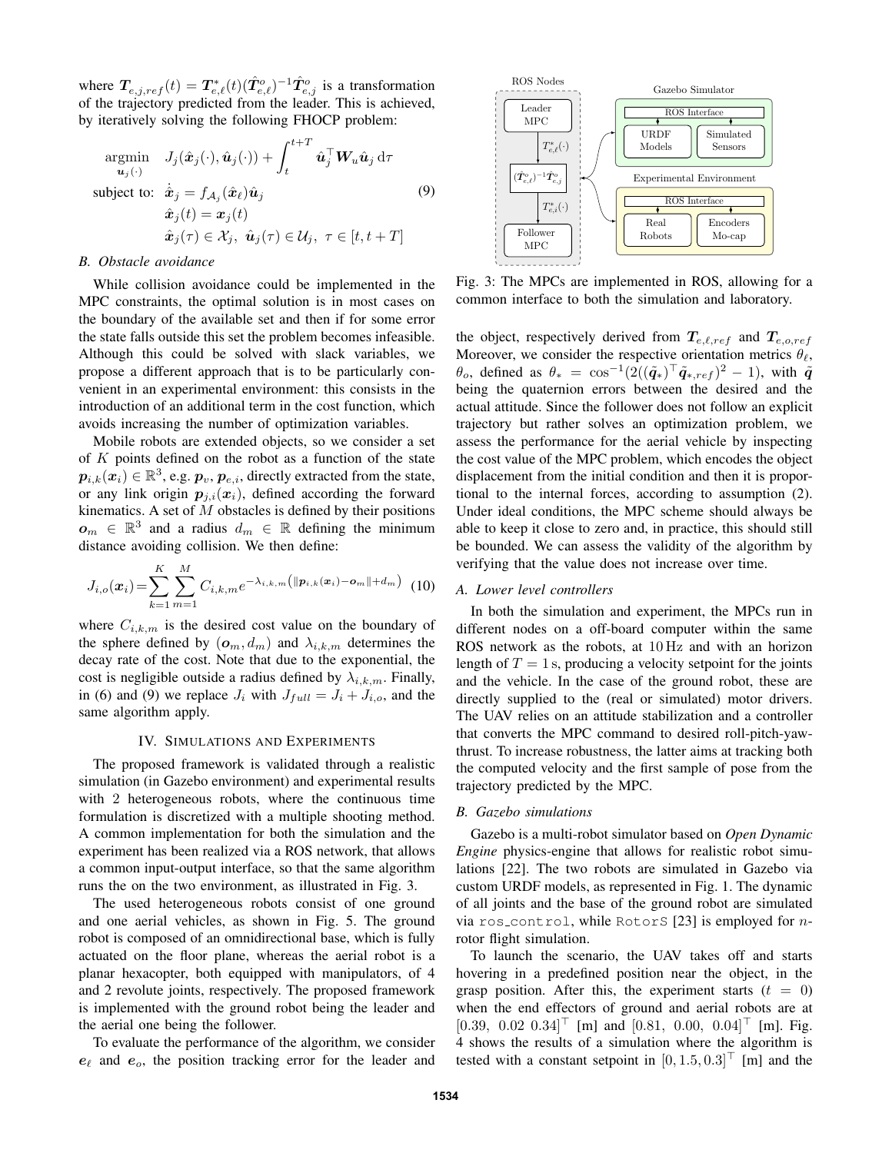where  $T_{e,j,ref}(t) = T_{e,\ell}^*(t) (\hat{T}_{e,\ell}^o)^{-1} \hat{T}_{e,j}^o$  is a transformation of the trajectory predicted from the leader. This is achieved, by iteratively solving the following FHOCP problem:

$$
\underset{\mathbf{\hat{u}}_j(t)}{\text{argmin}} \quad J_j(\hat{\mathbf{x}}_j(\cdot), \hat{\mathbf{u}}_j(\cdot)) + \int_t^{t+T} \hat{\mathbf{u}}_j^\top \mathbf{W}_u \hat{\mathbf{u}}_j \, d\tau
$$
\n
$$
\text{subject to:} \quad \dot{\hat{\mathbf{x}}}_j = f_{\mathcal{A}_j}(\hat{\mathbf{x}}_\ell) \hat{\mathbf{u}}_j \tag{9}
$$
\n
$$
\hat{\mathbf{x}}_j(t) = \mathbf{x}_j(t)
$$
\n
$$
\hat{\mathbf{x}}_j(\tau) \in \mathcal{X}_j, \quad \hat{\mathbf{u}}_j(\tau) \in \mathcal{U}_j, \quad \tau \in [t, t+T]
$$

# *B. Obstacle avoidance*

While collision avoidance could be implemented in the MPC constraints, the optimal solution is in most cases on the boundary of the available set and then if for some error the state falls outside this set the problem becomes infeasible. Although this could be solved with slack variables, we propose a different approach that is to be particularly convenient in an experimental environment: this consists in the introduction of an additional term in the cost function, which avoids increasing the number of optimization variables.

Mobile robots are extended objects, so we consider a set of  $K$  points defined on the robot as a function of the state  $\boldsymbol{p}_{i,k}(\boldsymbol{x}_{i})\in\mathbb{R}^{3},$  e.g.  $\boldsymbol{p}_{v},\boldsymbol{p}_{e,i},$  directly extracted from the state, or any link origin  $p_{i,i}(x_i)$ , defined according the forward kinematics. A set of  $M$  obstacles is defined by their positions  $\boldsymbol{o}_m \in \mathbb{R}^3$  and a radius  $d_m \in \mathbb{R}$  defining the minimum distance avoiding collision. We then define:

$$
J_{i,o}(\boldsymbol{x}_i) = \sum_{k=1}^{K} \sum_{m=1}^{M} C_{i,k,m} e^{-\lambda_{i,k,m} (||\boldsymbol{p}_{i,k}(\boldsymbol{x}_i) - \boldsymbol{o}_m|| + d_m)}
$$
(10)

where  $C_{i,k,m}$  is the desired cost value on the boundary of the sphere defined by  $(o_m, d_m)$  and  $\lambda_{i,k,m}$  determines the decay rate of the cost. Note that due to the exponential, the cost is negligible outside a radius defined by  $\lambda_{i,k,m}$ . Finally, in (6) and (9) we replace  $J_i$  with  $J_{full} = J_i + J_{i,o}$ , and the same algorithm apply.

#### IV. SIMULATIONS AND EXPERIMENTS

The proposed framework is validated through a realistic simulation (in Gazebo environment) and experimental results with 2 heterogeneous robots, where the continuous time formulation is discretized with a multiple shooting method. A common implementation for both the simulation and the experiment has been realized via a ROS network, that allows a common input-output interface, so that the same algorithm runs the on the two environment, as illustrated in Fig. 3.

The used heterogeneous robots consist of one ground and one aerial vehicles, as shown in Fig. 5. The ground robot is composed of an omnidirectional base, which is fully actuated on the floor plane, whereas the aerial robot is a planar hexacopter, both equipped with manipulators, of 4 and 2 revolute joints, respectively. The proposed framework is implemented with the ground robot being the leader and the aerial one being the follower.

To evaluate the performance of the algorithm, we consider  $e_{\ell}$  and  $e_{\alpha}$ , the position tracking error for the leader and



Fig. 3: The MPCs are implemented in ROS, allowing for a common interface to both the simulation and laboratory.

the object, respectively derived from  $T_{e,\ell,ref}$  and  $T_{e,o,ref}$ Moreover, we consider the respective orientation metrics  $\theta_{\ell}$ ,  $\theta_o$ , defined as  $\theta_* = \cos^{-1}(2((\tilde{\boldsymbol{q}}_*)^{\top}\tilde{\boldsymbol{q}}_{*,ref})^2 - 1)$ , with  $\tilde{\boldsymbol{q}}$ being the quaternion errors between the desired and the actual attitude. Since the follower does not follow an explicit trajectory but rather solves an optimization problem, we assess the performance for the aerial vehicle by inspecting the cost value of the MPC problem, which encodes the object displacement from the initial condition and then it is proportional to the internal forces, according to assumption (2). Under ideal conditions, the MPC scheme should always be able to keep it close to zero and, in practice, this should still be bounded. We can assess the validity of the algorithm by verifying that the value does not increase over time.

## *A. Lower level controllers*

In both the simulation and experiment, the MPCs run in different nodes on a off-board computer within the same ROS network as the robots, at 10 Hz and with an horizon length of  $T = 1$  s, producing a velocity setpoint for the joints and the vehicle. In the case of the ground robot, these are directly supplied to the (real or simulated) motor drivers. The UAV relies on an attitude stabilization and a controller that converts the MPC command to desired roll-pitch-yawthrust. To increase robustness, the latter aims at tracking both the computed velocity and the first sample of pose from the trajectory predicted by the MPC.

# *B. Gazebo simulations*

Gazebo is a multi-robot simulator based on *Open Dynamic Engine* physics-engine that allows for realistic robot simulations [22]. The two robots are simulated in Gazebo via custom URDF models, as represented in Fig. 1. The dynamic of all joints and the base of the ground robot are simulated via ros control, while RotorS [23] is employed for nrotor flight simulation.

To launch the scenario, the UAV takes off and starts hovering in a predefined position near the object, in the grasp position. After this, the experiment starts  $(t = 0)$ when the end effectors of ground and aerial robots are at  $[0.39, 0.02, 0.34]^\top$  [m] and  $[0.81, 0.00, 0.04]^\top$  [m]. Fig. 4 shows the results of a simulation where the algorithm is tested with a constant setpoint in  $[0, 1.5, 0.3]^\top$  [m] and the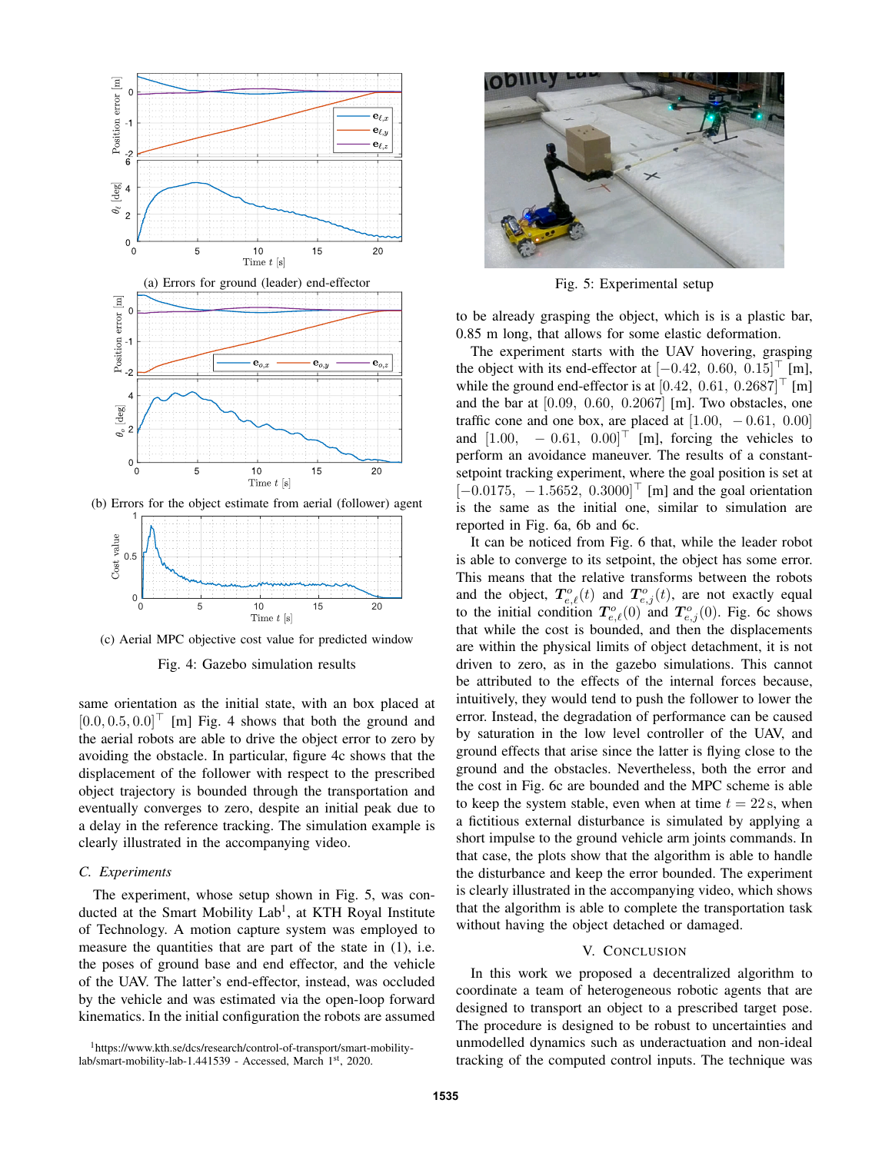



(c) Aerial MPC objective cost value for predicted window

Fig. 4: Gazebo simulation results

same orientation as the initial state, with an box placed at  $[0.0, 0.5, 0.0]^\top$  [m] Fig. 4 shows that both the ground and the aerial robots are able to drive the object error to zero by avoiding the obstacle. In particular, figure 4c shows that the displacement of the follower with respect to the prescribed object trajectory is bounded through the transportation and eventually converges to zero, despite an initial peak due to a delay in the reference tracking. The simulation example is clearly illustrated in the accompanying video.

# *C. Experiments*

The experiment, whose setup shown in Fig. 5, was conducted at the Smart Mobility Lab<sup>1</sup>, at KTH Royal Institute of Technology. A motion capture system was employed to measure the quantities that are part of the state in (1), i.e. the poses of ground base and end effector, and the vehicle of the UAV. The latter's end-effector, instead, was occluded by the vehicle and was estimated via the open-loop forward kinematics. In the initial configuration the robots are assumed

<sup>1</sup>https://www.kth.se/dcs/research/control-of-transport/smart-mobilitylab/smart-mobility-lab-1.441539 - Accessed, March 1st, 2020.



Fig. 5: Experimental setup

to be already grasping the object, which is is a plastic bar, 0.85 m long, that allows for some elastic deformation.

The experiment starts with the UAV hovering, grasping the object with its end-effector at  $[-0.42, 0.60, 0.15]^\top$  [m], while the ground end-effector is at  $[0.42, 0.61, 0.2687]^\top$  [m] and the bar at [0.09, 0.60, 0.2067] [m]. Two obstacles, one traffic cone and one box, are placed at  $[1.00, -0.61, 0.00]$ and  $[1.00, -0.61, 0.00]^\top$  [m], forcing the vehicles to perform an avoidance maneuver. The results of a constantsetpoint tracking experiment, where the goal position is set at  $[-0.0175, -1.5652, 0.3000]^\top$  [m] and the goal orientation is the same as the initial one, similar to simulation are reported in Fig. 6a, 6b and 6c.

It can be noticed from Fig. 6 that, while the leader robot is able to converge to its setpoint, the object has some error. This means that the relative transforms between the robots and the object,  $T_{e,\ell}^{o}(t)$  and  $T_{e,j}^{o}(t)$ , are not exactly equal to the initial condition  $T_{e,\ell}^o(0)$  and  $T_{e,j}^o(0)$ . Fig. 6c shows that while the cost is bounded, and then the displacements are within the physical limits of object detachment, it is not driven to zero, as in the gazebo simulations. This cannot be attributed to the effects of the internal forces because, intuitively, they would tend to push the follower to lower the error. Instead, the degradation of performance can be caused by saturation in the low level controller of the UAV, and ground effects that arise since the latter is flying close to the ground and the obstacles. Nevertheless, both the error and the cost in Fig. 6c are bounded and the MPC scheme is able to keep the system stable, even when at time  $t = 22$  s, when a fictitious external disturbance is simulated by applying a short impulse to the ground vehicle arm joints commands. In that case, the plots show that the algorithm is able to handle the disturbance and keep the error bounded. The experiment is clearly illustrated in the accompanying video, which shows that the algorithm is able to complete the transportation task without having the object detached or damaged.

## V. CONCLUSION

In this work we proposed a decentralized algorithm to coordinate a team of heterogeneous robotic agents that are designed to transport an object to a prescribed target pose. The procedure is designed to be robust to uncertainties and unmodelled dynamics such as underactuation and non-ideal tracking of the computed control inputs. The technique was